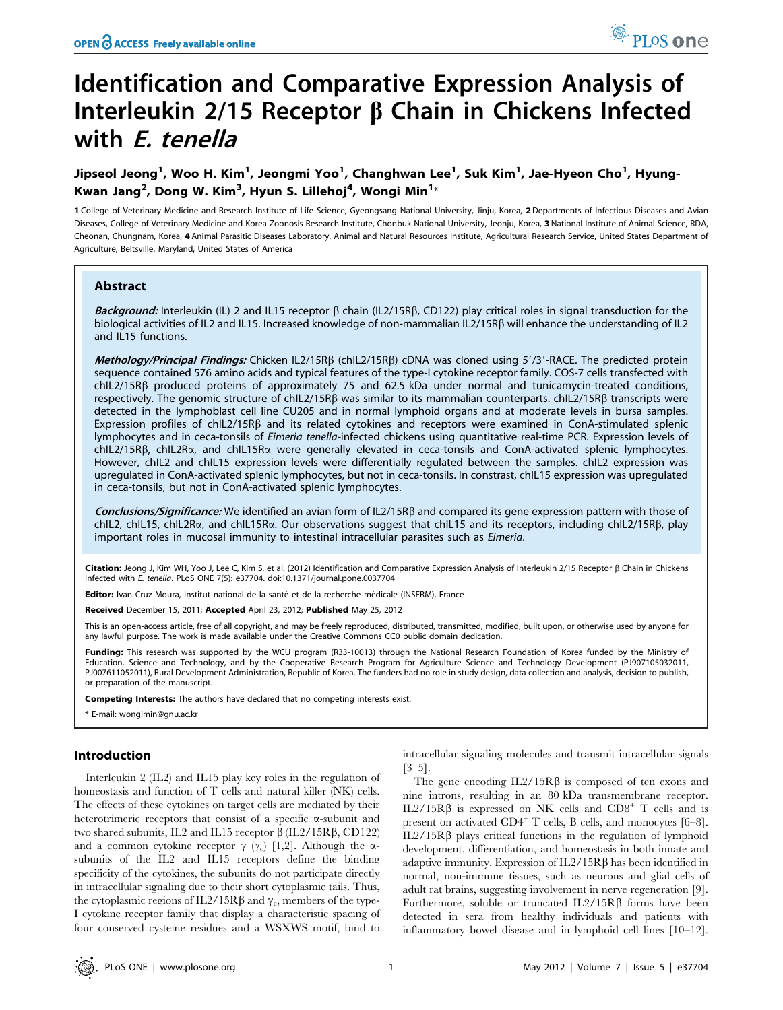# Identification and Comparative Expression Analysis of Interleukin 2/15 Receptor  $\beta$  Chain in Chickens Infected with E. tenella

# Jipseol Jeong<sup>1</sup>, Woo H. Kim<sup>1</sup>, Jeongmi Yoo<sup>1</sup>, Changhwan Lee<sup>1</sup>, Suk Kim<sup>1</sup>, Jae-Hyeon Cho<sup>1</sup>, Hyung-Kwan Jang $^2$ , Dong W. Kim $^3$ , Hyun S. Lillehoj $^4$ , Wongi Min $^{1\ast}$

1 College of Veterinary Medicine and Research Institute of Life Science, Gyeongsang National University, Jinju, Korea, 2 Departments of Infectious Diseases and Avian Diseases, College of Veterinary Medicine and Korea Zoonosis Research Institute, Chonbuk National University, Jeonju, Korea, 3 National Institute of Animal Science, RDA, Cheonan, Chungnam, Korea, 4 Animal Parasitic Diseases Laboratory, Animal and Natural Resources Institute, Agricultural Research Service, United States Department of Agriculture, Beltsville, Maryland, United States of America

## Abstract

Background: Interleukin (IL) 2 and IL15 receptor  $\beta$  chain (IL2/15R $\beta$ , CD122) play critical roles in signal transduction for the biological activities of IL2 and IL15. Increased knowledge of non-mammalian IL2/15Rb will enhance the understanding of IL2 and IL15 functions.

Methology/Principal Findings: Chicken IL2/15RB (chIL2/15RB) cDNA was cloned using 5'/3'-RACE. The predicted protein sequence contained 576 amino acids and typical features of the type-I cytokine receptor family. COS-7 cells transfected with  $\text{chL2}/15\text{R}\beta$  produced proteins of approximately 75 and 62.5 kDa under normal and tunicamycin-treated conditions, respectively. The genomic structure of chIL2/15R $\beta$  was similar to its mammalian counterparts. chIL2/15R $\beta$  transcripts were detected in the lymphoblast cell line CU205 and in normal lymphoid organs and at moderate levels in bursa samples. Expression profiles of chIL2/15RB and its related cytokines and receptors were examined in ConA-stimulated splenic lymphocytes and in ceca-tonsils of Eimeria tenella-infected chickens using quantitative real-time PCR. Expression levels of chIL2/15Rb, chIL2Ra, and chIL15Ra were generally elevated in ceca-tonsils and ConA-activated splenic lymphocytes. However, chIL2 and chIL15 expression levels were differentially regulated between the samples. chIL2 expression was upregulated in ConA-activated splenic lymphocytes, but not in ceca-tonsils. In constrast, chIL15 expression was upregulated in ceca-tonsils, but not in ConA-activated splenic lymphocytes.

Conclusions/Significance: We identified an avian form of IL2/15RB and compared its gene expression pattern with those of chIL2, chIL15, chIL2R $\alpha$ , and chIL15R $\alpha$ . Our observations suggest that chIL15 and its receptors, including chIL2/15RB, play important roles in mucosal immunity to intestinal intracellular parasites such as *Eimeria*.

Citation: Jeong J, Kim WH, Yoo J, Lee C, Kim S, et al. (2012) Identification and Comparative Expression Analysis of Interleukin 2/15 Receptor  $\beta$  Chain in Chickens Infected with E. tenella. PLoS ONE 7(5): e37704. doi:10.1371/journal.pone.0037704

Editor: Ivan Cruz Moura, Institut national de la santé et de la recherche médicale (INSERM), France

Received December 15, 2011; Accepted April 23, 2012; Published May 25, 2012

This is an open-access article, free of all copyright, and may be freely reproduced, distributed, transmitted, modified, built upon, or otherwise used by anyone for any lawful purpose. The work is made available under the Creative Commons CC0 public domain dedication.

Funding: This research was supported by the WCU program (R33-10013) through the National Research Foundation of Korea funded by the Ministry of Education, Science and Technology, and by the Cooperative Research Program for Agriculture Science and Technology Development (PJ907105032011, PJ007611052011), Rural Development Administration, Republic of Korea. The funders had no role in study design, data collection and analysis, decision to publish, or preparation of the manuscript.

Competing Interests: The authors have declared that no competing interests exist.

\* E-mail: wongimin@gnu.ac.kr

#### Introduction

Interleukin 2 (IL2) and IL15 play key roles in the regulation of homeostasis and function of T cells and natural killer (NK) cells. The effects of these cytokines on target cells are mediated by their heterotrimeric receptors that consist of a specific  $\alpha$ -subunit and two shared subunits, IL2 and IL15 receptor  $\beta$  (IL2/15R $\beta$ , CD122) and a common cytokine receptor  $\gamma$  ( $\gamma_c$ ) [1,2]. Although the  $\alpha$ subunits of the IL2 and IL15 receptors define the binding specificity of the cytokines, the subunits do not participate directly in intracellular signaling due to their short cytoplasmic tails. Thus, the cytoplasmic regions of IL2/15R $\beta$  and  $\gamma_c$ , members of the type-I cytokine receptor family that display a characteristic spacing of four conserved cysteine residues and a WSXWS motif, bind to

intracellular signaling molecules and transmit intracellular signals [3–5].

The gene encoding  $IL2/15R\beta$  is composed of ten exons and nine introns, resulting in an 80 kDa transmembrane receptor. IL2/15Rβ is expressed on NK cells and CD8<sup>+</sup> T cells and is present on activated  $CD4^+$  T cells, B cells, and monocytes  $[6-8]$ .  $IL2/15R\beta$  plays critical functions in the regulation of lymphoid development, differentiation, and homeostasis in both innate and adaptive immunity. Expression of  $IL2/15R\beta$  has been identified in normal, non-immune tissues, such as neurons and glial cells of adult rat brains, suggesting involvement in nerve regeneration [9]. Furthermore, soluble or truncated  $IL2/15R\beta$  forms have been detected in sera from healthy individuals and patients with inflammatory bowel disease and in lymphoid cell lines [10–12].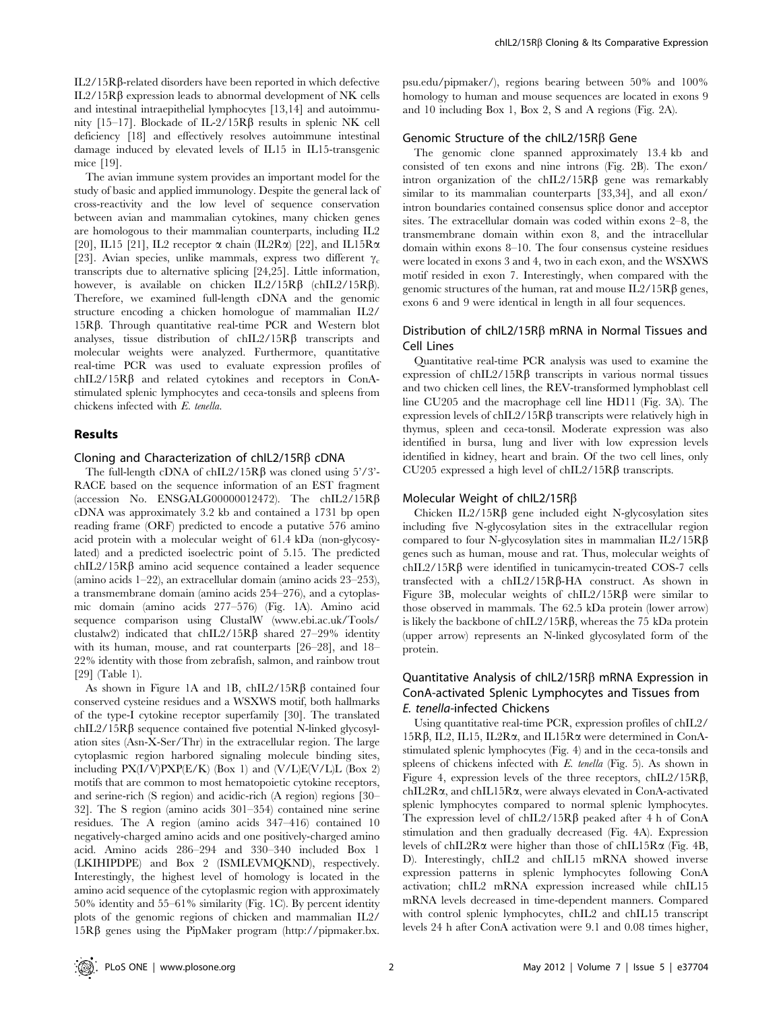$IL2/15R\beta$ -related disorders have been reported in which defective  $IL2/15R\beta$  expression leads to abnormal development of NK cells and intestinal intraepithelial lymphocytes [13,14] and autoimmunity [15–17]. Blockade of IL-2/15R $\beta$  results in splenic NK cell deficiency [18] and effectively resolves autoimmune intestinal damage induced by elevated levels of IL15 in IL15-transgenic mice [19].

The avian immune system provides an important model for the study of basic and applied immunology. Despite the general lack of cross-reactivity and the low level of sequence conservation between avian and mammalian cytokines, many chicken genes are homologous to their mammalian counterparts, including IL2 [20], IL15 [21], IL2 receptor  $\alpha$  chain (IL2R $\alpha$ ) [22], and IL15R $\alpha$ [23]. Avian species, unlike mammals, express two different  $\gamma_c$ transcripts due to alternative splicing [24,25]. Little information, however, is available on chicken  $IL2/15R\beta$  (chIL2/15R $\beta$ ). Therefore, we examined full-length cDNA and the genomic structure encoding a chicken homologue of mammalian IL2/ 15Rb. Through quantitative real-time PCR and Western blot analyses, tissue distribution of  $chIL2/15R\beta$  transcripts and molecular weights were analyzed. Furthermore, quantitative real-time PCR was used to evaluate expression profiles of  $chIL2/15R\beta$  and related cytokines and receptors in ConAstimulated splenic lymphocytes and ceca-tonsils and spleens from chickens infected with E. tenella.

#### Results

#### Cloning and Characterization of chIL2/15R $\beta$  cDNA

The full-length cDNA of chIL2/15R $\beta$  was cloned using 5'/3'-RACE based on the sequence information of an EST fragment (accession No. ENSGALG00000012472). The chIL2/15R $\beta$ cDNA was approximately 3.2 kb and contained a 1731 bp open reading frame (ORF) predicted to encode a putative 576 amino acid protein with a molecular weight of 61.4 kDa (non-glycosylated) and a predicted isoelectric point of 5.15. The predicted  $chIL2/15R\beta$  amino acid sequence contained a leader sequence (amino acids 1–22), an extracellular domain (amino acids 23–253), a transmembrane domain (amino acids 254–276), and a cytoplasmic domain (amino acids 277–576) (Fig. 1A). Amino acid sequence comparison using ClustalW (www.ebi.ac.uk/Tools/ clustalw2) indicated that chIL2/15R $\beta$  shared 27–29% identity with its human, mouse, and rat counterparts [26–28], and 18– 22% identity with those from zebrafish, salmon, and rainbow trout [29] (Table 1).

As shown in Figure 1A and 1B,  $\text{chIL2}/15\text{R}\beta$  contained four conserved cysteine residues and a WSXWS motif, both hallmarks of the type-I cytokine receptor superfamily [30]. The translated  $chIL2/15R\beta$  sequence contained five potential N-linked glycosylation sites (Asn-X-Ser/Thr) in the extracellular region. The large cytoplasmic region harbored signaling molecule binding sites, including  $PX(I/V)PXP(E/K)$  (Box 1) and  $(V/L)E(V/L)L$  (Box 2) motifs that are common to most hematopoietic cytokine receptors, and serine-rich (S region) and acidic-rich (A region) regions [30– 32]. The S region (amino acids 301–354) contained nine serine residues. The A region (amino acids 347–416) contained 10 negatively-charged amino acids and one positively-charged amino acid. Amino acids 286–294 and 330–340 included Box 1 (LKIHIPDPE) and Box 2 (ISMLEVMQKND), respectively. Interestingly, the highest level of homology is located in the amino acid sequence of the cytoplasmic region with approximately 50% identity and 55–61% similarity (Fig. 1C). By percent identity plots of the genomic regions of chicken and mammalian IL2/  $15R\beta$  genes using the PipMaker program (http://pipmaker.bx.

psu.edu/pipmaker/), regions bearing between 50% and 100% homology to human and mouse sequences are located in exons 9 and 10 including Box 1, Box 2, S and A regions (Fig. 2A).

#### Genomic Structure of the chIL2/15R $\beta$  Gene

The genomic clone spanned approximately 13.4 kb and consisted of ten exons and nine introns (Fig. 2B). The exon/ intron organization of the chIL2/15R $\beta$  gene was remarkably similar to its mammalian counterparts [33,34], and all exon/ intron boundaries contained consensus splice donor and acceptor sites. The extracellular domain was coded within exons 2–8, the transmembrane domain within exon 8, and the intracellular domain within exons 8–10. The four consensus cysteine residues were located in exons 3 and 4, two in each exon, and the WSXWS motif resided in exon 7. Interestingly, when compared with the genomic structures of the human, rat and mouse  $IL2/15R\beta$  genes, exons 6 and 9 were identical in length in all four sequences.

#### Distribution of chIL2/15R $\beta$  mRNA in Normal Tissues and Cell Lines

Quantitative real-time PCR analysis was used to examine the expression of chIL2/15R $\beta$  transcripts in various normal tissues and two chicken cell lines, the REV-transformed lymphoblast cell line CU205 and the macrophage cell line HD11 (Fig. 3A). The expression levels of chIL2/15R $\beta$  transcripts were relatively high in thymus, spleen and ceca-tonsil. Moderate expression was also identified in bursa, lung and liver with low expression levels identified in kidney, heart and brain. Of the two cell lines, only CU205 expressed a high level of chIL2/15R $\beta$  transcripts.

#### Molecular Weight of chIL2/15RB

Chicken  $IL2/15R\beta$  gene included eight N-glycosylation sites including five N-glycosylation sites in the extracellular region compared to four N-glycosylation sites in mammalian  $IL2/15R\beta$ genes such as human, mouse and rat. Thus, molecular weights of  $chIL2/15R\beta$  were identified in tunicamycin-treated COS-7 cells transfected with a  $\text{chIL2}/15\text{R}\beta-\text{HA}}$  construct. As shown in Figure 3B, molecular weights of  $chIL2/15R\beta$  were similar to those observed in mammals. The 62.5 kDa protein (lower arrow) is likely the backbone of chIL2/15R $\beta$ , whereas the 75 kDa protein (upper arrow) represents an N-linked glycosylated form of the protein.

# Quantitative Analysis of chIL2/15R $\beta$  mRNA Expression in ConA-activated Splenic Lymphocytes and Tissues from E. tenella-infected Chickens

Using quantitative real-time PCR, expression profiles of chIL2/ 15Rb, IL2, IL15, IL2Ra, and IL15Ra were determined in ConAstimulated splenic lymphocytes (Fig. 4) and in the ceca-tonsils and spleens of chickens infected with E. tenella (Fig. 5). As shown in Figure 4, expression levels of the three receptors,  $\text{chL2}/15\text{R}\beta$ , chIL2Ra, and chIL15Ra, were always elevated in ConA-activated splenic lymphocytes compared to normal splenic lymphocytes. The expression level of chIL2/15R $\beta$  peaked after 4 h of ConA stimulation and then gradually decreased (Fig. 4A). Expression levels of chIL2R $\alpha$  were higher than those of chIL15R $\alpha$  (Fig. 4B, D). Interestingly, chIL2 and chIL15 mRNA showed inverse expression patterns in splenic lymphocytes following ConA activation; chIL2 mRNA expression increased while chIL15 mRNA levels decreased in time-dependent manners. Compared with control splenic lymphocytes, chIL2 and chIL15 transcript levels 24 h after ConA activation were 9.1 and 0.08 times higher,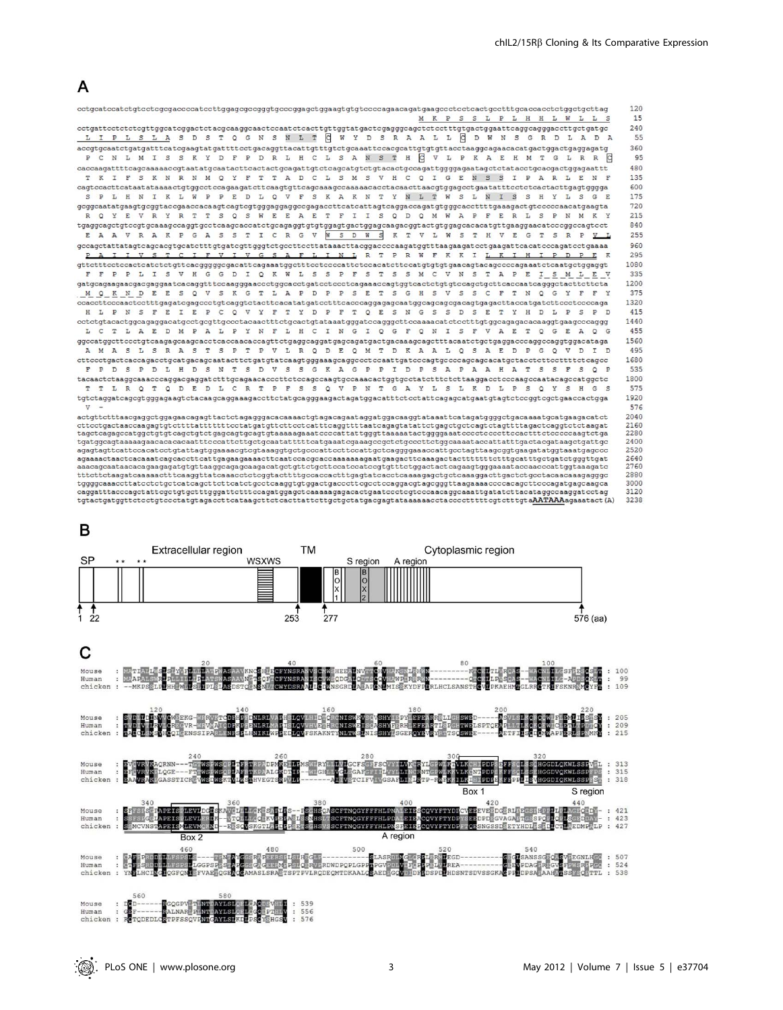

| cctgcatccatctgtcctcgcgaccccatccttggagcgccgggtgcccggagctggaagtgtgtccccagaacagatgaagccctcctcactgcctttgcaccacctctggctgcttag                                                                                                                             |  |  |  |  |  |  |  |  |  |  |  |                                                                       |  |  |  |  |  |  | M K P S S L P L H H L W L L S                                                                                             |
|------------------------------------------------------------------------------------------------------------------------------------------------------------------------------------------------------------------------------------------------------|--|--|--|--|--|--|--|--|--|--|--|-----------------------------------------------------------------------|--|--|--|--|--|--|---------------------------------------------------------------------------------------------------------------------------|
|                                                                                                                                                                                                                                                      |  |  |  |  |  |  |  |  |  |  |  |                                                                       |  |  |  |  |  |  |                                                                                                                           |
| LI                                                                                                                                                                                                                                                   |  |  |  |  |  |  |  |  |  |  |  |                                                                       |  |  |  |  |  |  | PLSLASD ST Q G N S N L T C W Y D S R A A L L C D W N S G R D L A D A                                                      |
|                                                                                                                                                                                                                                                      |  |  |  |  |  |  |  |  |  |  |  |                                                                       |  |  |  |  |  |  |                                                                                                                           |
| P C N L M I S S K Y D F P D R L H C L S A N S T H C V L P K A E H M T G L R R                                                                                                                                                                        |  |  |  |  |  |  |  |  |  |  |  |                                                                       |  |  |  |  |  |  | c                                                                                                                         |
| caccaagattttcagcaaaaaccgtaatatgcaatacttcactactgcagattgtctcagcatgtctgtacactgccagattggggagaatagctctatacctgcacgactggagaattt                                                                                                                             |  |  |  |  |  |  |  |  |  |  |  |                                                                       |  |  |  |  |  |  |                                                                                                                           |
|                                                                                                                                                                                                                                                      |  |  |  |  |  |  |  |  |  |  |  |                                                                       |  |  |  |  |  |  | T K I F S K N R N M Q Y F T T A D C L S M S V H C Q I G E N S S I P A R L E N F                                           |
| caqtccacttcataatataaaactqtqqcctccaqaaqatcttcaaqtqttcaqcaaaqccaaaaacacctacaacttaacqtqqaqcctqaatatttcctctcactacttqaqtqqqq                                                                                                                              |  |  |  |  |  |  |  |  |  |  |  |                                                                       |  |  |  |  |  |  |                                                                                                                           |
| S P                                                                                                                                                                                                                                                  |  |  |  |  |  |  |  |  |  |  |  |                                                                       |  |  |  |  |  |  | L H N I K L W P P E D L Q V F S K A K N T Y N L T W S L N I S S H Y L S G E                                               |
| gcggcaatatgaagtgcggtaccgaaccacaagtcagtcgtgggaggaggccgagaccttcatcattagtcaggaccagatgtgggcaccttttgaaagactgtcccccaacatgaagta                                                                                                                             |  |  |  |  |  |  |  |  |  |  |  |                                                                       |  |  |  |  |  |  |                                                                                                                           |
| R Q Y E V R Y R T T S Q S W E E A E T F I I S Q D Q M W A P F E R L S P N                                                                                                                                                                            |  |  |  |  |  |  |  |  |  |  |  |                                                                       |  |  |  |  |  |  |                                                                                                                           |
| tgaggcagctgtccgtgcaaagccaggtgcctcaagcaccatctgcagaggtgtgtggagtgactggagcaagacggtactgtggagcacacatgttgaaggaacatcccggccagtcct                                                                                                                             |  |  |  |  |  |  |  |  |  |  |  |                                                                       |  |  |  |  |  |  |                                                                                                                           |
|                                                                                                                                                                                                                                                      |  |  |  |  |  |  |  |  |  |  |  |                                                                       |  |  |  |  |  |  | E A A V R A K P G A S S T I C R G V W S D W S K T V L W S T H V E G T S R P <u>V L</u>                                    |
|                                                                                                                                                                                                                                                      |  |  |  |  |  |  |  |  |  |  |  |                                                                       |  |  |  |  |  |  |                                                                                                                           |
|                                                                                                                                                                                                                                                      |  |  |  |  |  |  |  |  |  |  |  |                                                                       |  |  |  |  |  |  | I I V S T C I F V I V G S A F L I N L R T P R W F K K I L K I H I P D P E K                                               |
|                                                                                                                                                                                                                                                      |  |  |  |  |  |  |  |  |  |  |  |                                                                       |  |  |  |  |  |  |                                                                                                                           |
| F F                                                                                                                                                                                                                                                  |  |  |  |  |  |  |  |  |  |  |  |                                                                       |  |  |  |  |  |  | P P L I S V H G G D I Q K W L S S P F S T S S M C V N S T A P E I S M L E V                                               |
|                                                                                                                                                                                                                                                      |  |  |  |  |  |  |  |  |  |  |  |                                                                       |  |  |  |  |  |  |                                                                                                                           |
| M Q K N D E E                                                                                                                                                                                                                                        |  |  |  |  |  |  |  |  |  |  |  |                                                                       |  |  |  |  |  |  | S Q V S K G T L A P D P P S E T S G H S V S S C F T N Q G Y F F Y                                                         |
|                                                                                                                                                                                                                                                      |  |  |  |  |  |  |  |  |  |  |  |                                                                       |  |  |  |  |  |  |                                                                                                                           |
|                                                                                                                                                                                                                                                      |  |  |  |  |  |  |  |  |  |  |  |                                                                       |  |  |  |  |  |  | H L P N S F E I E P C Q V Y F T Y D P F T Q E S N G S S D S E T Y H D L P S P D                                           |
| cctctgtacactggcagaggacatgcctgcgttgccctacaactttctgcactgtataaatgggatccagggcttccaaaacatctcctttgtggcagagacacaaggtgaagcccaggg                                                                                                                             |  |  |  |  |  |  |  |  |  |  |  |                                                                       |  |  |  |  |  |  |                                                                                                                           |
| L C                                                                                                                                                                                                                                                  |  |  |  |  |  |  |  |  |  |  |  | T L A E D M P A L P Y N F L H C I N G I Q G F Q N I S F V A E T Q G E |  |  |  |  |  |  | AOG                                                                                                                       |
|                                                                                                                                                                                                                                                      |  |  |  |  |  |  |  |  |  |  |  |                                                                       |  |  |  |  |  |  |                                                                                                                           |
| A M A S L S R A S T S P T P V L R Q D E Q M T D K A A L Q S A E D P G Q V D                                                                                                                                                                          |  |  |  |  |  |  |  |  |  |  |  |                                                                       |  |  |  |  |  |  |                                                                                                                           |
| cttccctgactcaccagacctgcatgacagcaatacttctgatgtatcaagtgggaaagcaggccctccaattgatcccagtgccccagcagcacatgctacctcttcctttcctcagcc                                                                                                                             |  |  |  |  |  |  |  |  |  |  |  |                                                                       |  |  |  |  |  |  |                                                                                                                           |
|                                                                                                                                                                                                                                                      |  |  |  |  |  |  |  |  |  |  |  |                                                                       |  |  |  |  |  |  | F P D S P D L H D S N T S D V S S G K A G P P I D P S A P A A H A T S S F S Q P                                           |
| tacaactctaaqqcaaacccaqqacqaqqatctttqcaqaacacccttctccaqccaaqtqccaaacactqqtqcctatctttctcttaaqqacctcccaaqccaatacaqccatqqctc                                                                                                                             |  |  |  |  |  |  |  |  |  |  |  |                                                                       |  |  |  |  |  |  |                                                                                                                           |
|                                                                                                                                                                                                                                                      |  |  |  |  |  |  |  |  |  |  |  |                                                                       |  |  |  |  |  |  | T T L R Q T Q D E D L C R T P F S S Q V P N T G A Y L S L K D L P S Q Y S H G S                                           |
| tgtctaggatcagcgtgggagaagtctacaagcaggaaagaccttctatgcagggaagactagatggacatttctcctattcagagcatgaatgtagtctccggtcgctgaaccactgga                                                                                                                             |  |  |  |  |  |  |  |  |  |  |  |                                                                       |  |  |  |  |  |  |                                                                                                                           |
| $\mathbf{v}$                                                                                                                                                                                                                                         |  |  |  |  |  |  |  |  |  |  |  |                                                                       |  |  |  |  |  |  |                                                                                                                           |
| actgttctttaacgaggctggagaacagagttactctagagggacacaaaactgtagacagaataggatggacaaggtataaattcatagatggggctgacaaaatgcatgaagacatct<br>cttcctgactaaccaagagtgtcttttatttttttcctatgatgttcttcctcatttcaggttttaatcagagtatattctgagctgctcagtctagttttagactcaggtctctaagat |  |  |  |  |  |  |  |  |  |  |  |                                                                       |  |  |  |  |  |  |                                                                                                                           |
| tageteagageeatggetgtgteagetgtetgageagtgeagtgtaaaaagaaateeeeattattgggttaaaaataetggggaaateeeetteeeettteeaettteteeeeaagtetga                                                                                                                            |  |  |  |  |  |  |  |  |  |  |  |                                                                       |  |  |  |  |  |  |                                                                                                                           |
| tgatggcagtaaaaagaacacacacattttcccattcttgctgcaatatttttcatgaaatcgaaagccgctctgcccttctggcaaaataccattatttgactacgataagctgattgc                                                                                                                             |  |  |  |  |  |  |  |  |  |  |  |                                                                       |  |  |  |  |  |  |                                                                                                                           |
|                                                                                                                                                                                                                                                      |  |  |  |  |  |  |  |  |  |  |  |                                                                       |  |  |  |  |  |  |                                                                                                                           |
|                                                                                                                                                                                                                                                      |  |  |  |  |  |  |  |  |  |  |  |                                                                       |  |  |  |  |  |  |                                                                                                                           |
|                                                                                                                                                                                                                                                      |  |  |  |  |  |  |  |  |  |  |  |                                                                       |  |  |  |  |  |  |                                                                                                                           |
| tttettetaagateaaaaaettteaaggttateaaaeeteteggtaettttgeeaeeaetttgagtateaeeteaaaagagetgeteaaaggaettgaetetgeetaeaaeaagaggge                                                                                                                              |  |  |  |  |  |  |  |  |  |  |  |                                                                       |  |  |  |  |  |  |                                                                                                                           |
| caggatttacccagctattcgctgtgctttgggattctttccagatggagctcaaaaagagacactgaatccctcgtcccaacaggcaaattgatatcttacataggccaaggatcctag                                                                                                                             |  |  |  |  |  |  |  |  |  |  |  |                                                                       |  |  |  |  |  |  |                                                                                                                           |
|                                                                                                                                                                                                                                                      |  |  |  |  |  |  |  |  |  |  |  |                                                                       |  |  |  |  |  |  | tgtactgatggttctcctgtccctatgtagaccttcataagcttctcacttattcttgctgctatgacgagtataaaaaacctacccctttttcgtctttgtaAATAAAagaaatact(A) |



- :LS:HPG::-----------<br>:PS:CBRV:RDWDPQPLGPP<br>:SPTPVLRQDEQMTDKAALQ GP: 560 580 Mouse  $DCD$ --GQGPV TI<mark>NA</mark><br>ALNAR PINA **AYLSI**<br>AYLSI  $\ddot{\cdot}$
- $: 539$ <br>: 556<br>: 576 Human<br>chicken **COEDLOR**

**IDSNTSDVSSGK**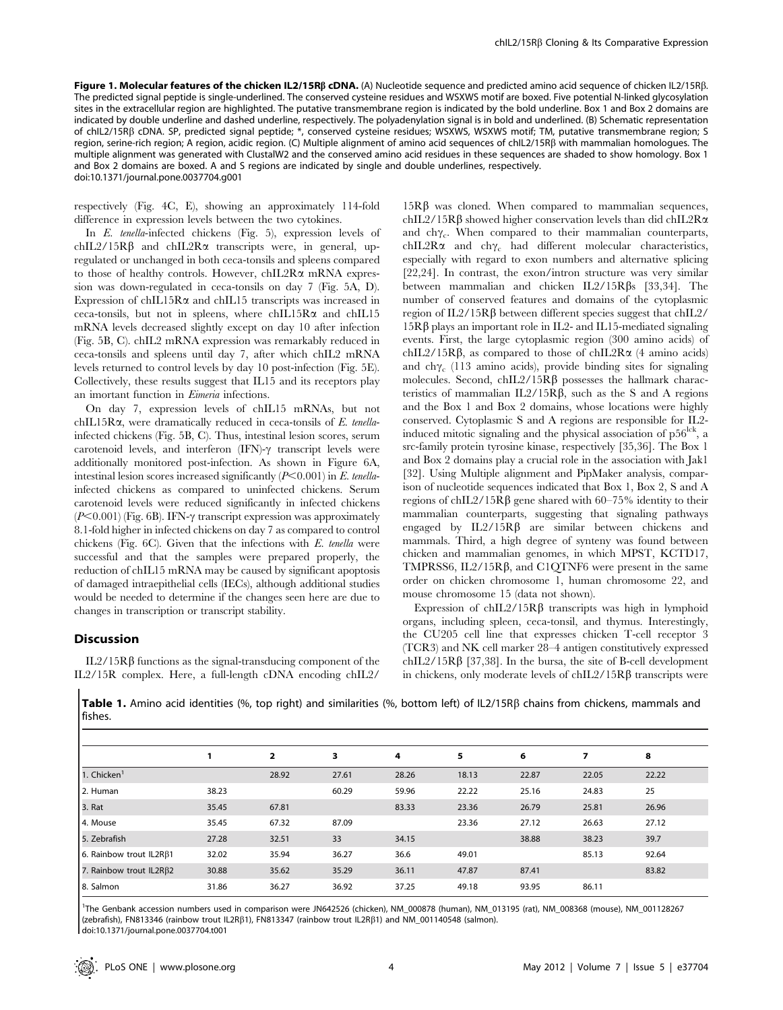Figure 1. Molecular features of the chicken IL2/15Rß cDNA. (A) Nucleotide sequence and predicted amino acid sequence of chicken IL2/15Rß. The predicted signal peptide is single-underlined. The conserved cysteine residues and WSXWS motif are boxed. Five potential N-linked glycosylation sites in the extracellular region are highlighted. The putative transmembrane region is indicated by the bold underline. Box 1 and Box 2 domains are indicated by double underline and dashed underline, respectively. The polyadenylation signal is in bold and underlined. (B) Schematic representation of chIL2/15Rb cDNA. SP, predicted signal peptide; \*, conserved cysteine residues; WSXWS, WSXWS motif; TM, putative transmembrane region; S region, serine-rich region; A region, acidic region. (C) Multiple alignment of amino acid sequences of chIL2/15Rb with mammalian homologues. The multiple alignment was generated with ClustalW2 and the conserved amino acid residues in these sequences are shaded to show homology. Box 1 and Box 2 domains are boxed. A and S regions are indicated by single and double underlines, respectively. doi:10.1371/journal.pone.0037704.g001

respectively (Fig. 4C, E), showing an approximately 114-fold difference in expression levels between the two cytokines.

In E. tenella-infected chickens (Fig. 5), expression levels of chIL2/15R $\beta$  and chIL2R $\alpha$  transcripts were, in general, upregulated or unchanged in both ceca-tonsils and spleens compared to those of healthy controls. However, chIL2R $\alpha$  mRNA expression was down-regulated in ceca-tonsils on day 7 (Fig. 5A, D). Expression of chIL15R $\alpha$  and chIL15 transcripts was increased in ceca-tonsils, but not in spleens, where chIL15R $\alpha$  and chIL15 mRNA levels decreased slightly except on day 10 after infection (Fig. 5B, C). chIL2 mRNA expression was remarkably reduced in ceca-tonsils and spleens until day 7, after which chIL2 mRNA levels returned to control levels by day 10 post-infection (Fig. 5E). Collectively, these results suggest that IL15 and its receptors play an imortant function in Eimeria infections.

On day 7, expression levels of chIL15 mRNAs, but not chIL15R $\alpha$ , were dramatically reduced in ceca-tonsils of E. tenellainfected chickens (Fig. 5B, C). Thus, intestinal lesion scores, serum carotenoid levels, and interferon  $(IFN)$ - $\gamma$  transcript levels were additionally monitored post-infection. As shown in Figure 6A, intestinal lesion scores increased significantly  $(P<0.001)$  in E. tenellainfected chickens as compared to uninfected chickens. Serum carotenoid levels were reduced significantly in infected chickens  $(P<0.001)$  (Fig. 6B). IFN- $\gamma$  transcript expression was approximately 8.1-fold higher in infected chickens on day 7 as compared to control chickens (Fig.  $6C$ ). Given that the infections with  $E$ . tenella were successful and that the samples were prepared properly, the reduction of chIL15 mRNA may be caused by significant apoptosis of damaged intraepithelial cells (IECs), although additional studies would be needed to determine if the changes seen here are due to changes in transcription or transcript stability.

#### Discussion

IL $2/15Rβ$  functions as the signal-transducing component of the IL2/15R complex. Here, a full-length cDNA encoding chIL2/

 $15R\beta$  was cloned. When compared to mammalian sequences, chIL2/15R $\beta$  showed higher conservation levels than did chIL2R $\alpha$ and ch $\gamma_c$ . When compared to their mammalian counterparts, chIL2R $\alpha$  and ch $\gamma_c$  had different molecular characteristics, especially with regard to exon numbers and alternative splicing [22,24]. In contrast, the exon/intron structure was very similar between mammalian and chicken  $IL2/15R\beta s$  [33,34]. The number of conserved features and domains of the cytoplasmic region of  $IL2/15R\beta$  between different species suggest that chIL2/  $15R\beta$  plays an important role in IL2- and IL15-mediated signaling events. First, the large cytoplasmic region (300 amino acids) of chIL2/15R $\beta$ , as compared to those of chIL2R $\alpha$  (4 amino acids) and ch $\gamma_c$  (113 amino acids), provide binding sites for signaling molecules. Second, chIL2/15R $\beta$  possesses the hallmark characteristics of mammalian  $IL2/15R\beta$ , such as the S and A regions and the Box 1 and Box 2 domains, whose locations were highly conserved. Cytoplasmic S and A regions are responsible for IL2 induced mitotic signaling and the physical association of  $p56^{lck}$ , a src-family protein tyrosine kinase, respectively [35,36]. The Box 1 and Box 2 domains play a crucial role in the association with Jak1 [32]. Using Multiple alignment and PipMaker analysis, comparison of nucleotide sequences indicated that Box 1, Box 2, S and A regions of chIL2/15R $\beta$  gene shared with 60–75% identity to their mammalian counterparts, suggesting that signaling pathways engaged by  $IL2/15R\beta$  are similar between chickens and mammals. Third, a high degree of synteny was found between chicken and mammalian genomes, in which MPST, KCTD17, TMPRSS6, IL2/15R $\beta$ , and C1QTNF6 were present in the same order on chicken chromosome 1, human chromosome 22, and mouse chromosome 15 (data not shown).

Expression of  $chIL2/15R\beta$  transcripts was high in lymphoid organs, including spleen, ceca-tonsil, and thymus. Interestingly, the CU205 cell line that expresses chicken T-cell receptor 3 (TCR3) and NK cell marker 28–4 antigen constitutively expressed chIL2/15R $\beta$  [37,38]. In the bursa, the site of B-cell development in chickens, only moderate levels of  $\text{chIL2}/15\text{R}\beta$  transcripts were

Table 1. Amino acid identities (%, top right) and similarities (%, bottom left) of IL2/15R $\beta$  chains from chickens, mammals and fishes.

|                               |       | $\overline{2}$ | 3     | 4     | 5     | 6     | 7     | 8     |
|-------------------------------|-------|----------------|-------|-------|-------|-------|-------|-------|
| 1. Chicken <sup>1</sup>       |       | 28.92          | 27.61 | 28.26 | 18.13 | 22.87 | 22.05 | 22.22 |
| 2. Human                      | 38.23 |                | 60.29 | 59.96 | 22.22 | 25.16 | 24.83 | 25    |
| 3. Rat                        | 35.45 | 67.81          |       | 83.33 | 23.36 | 26.79 | 25.81 | 26.96 |
| 4. Mouse                      | 35.45 | 67.32          | 87.09 |       | 23.36 | 27.12 | 26.63 | 27.12 |
| 5. Zebrafish                  | 27.28 | 32.51          | 33    | 34.15 |       | 38.88 | 38.23 | 39.7  |
| 6. Rainbow trout $IL2R\beta1$ | 32.02 | 35.94          | 36.27 | 36.6  | 49.01 |       | 85.13 | 92.64 |
| 7. Rainbow trout IL2Rβ2       | 30.88 | 35.62          | 35.29 | 36.11 | 47.87 | 87.41 |       | 83.82 |
| 8. Salmon                     | 31.86 | 36.27          | 36.92 | 37.25 | 49.18 | 93.95 | 86.11 |       |

1 The Genbank accession numbers used in comparison were JN642526 (chicken), NM\_000878 (human), NM\_013195 (rat), NM\_008368 (mouse), NM\_001128267 (zebrafish), FN813346 (rainbow trout IL2R $\beta$ 1), FN813347 (rainbow trout IL2R $\beta$ 1) and NM\_001140548 (salmon). doi:10.1371/journal.pone.0037704.t001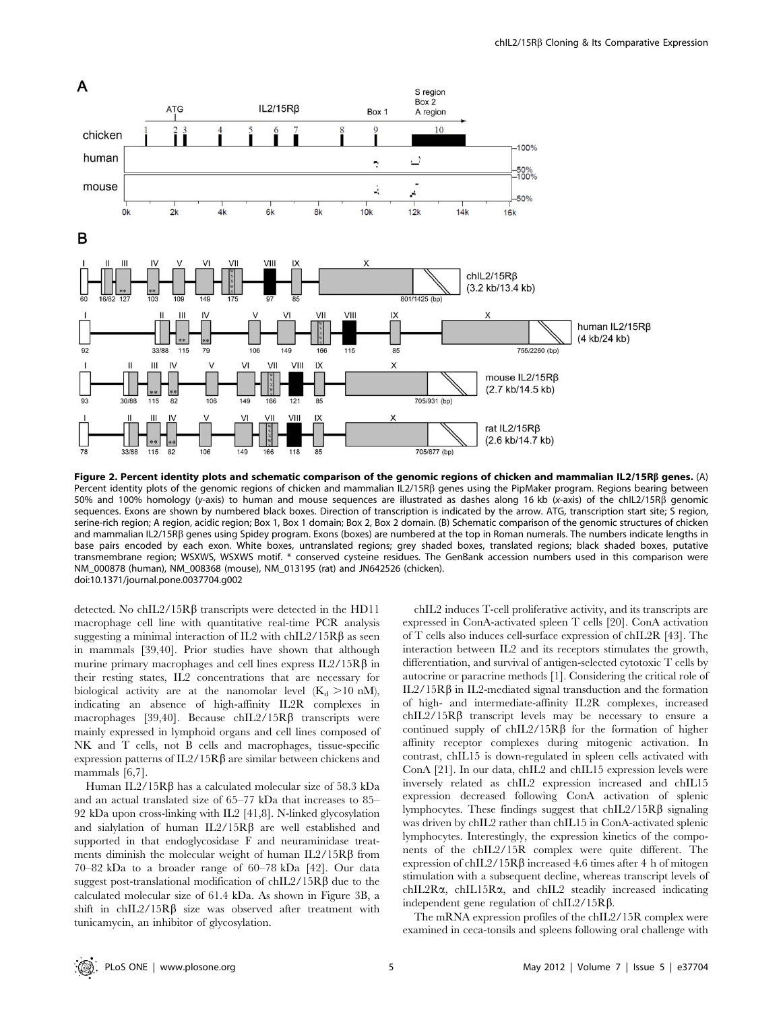

Figure 2. Percent identity plots and schematic comparison of the genomic regions of chicken and mammalian IL2/15R $\beta$  genes. (A) Percent identity plots of the genomic regions of chicken and mammalian IL2/15RB genes using the PipMaker program. Regions bearing between 50% and 100% homology (y-axis) to human and mouse sequences are illustrated as dashes along 16 kb (x-axis) of the chIL2/15Rb genomic sequences. Exons are shown by numbered black boxes. Direction of transcription is indicated by the arrow. ATG, transcription start site; S region, serine-rich region; A region, acidic region; Box 1, Box 1 domain; Box 2, Box 2 domain. (B) Schematic comparison of the genomic structures of chicken and mammalian IL2/15RB genes using Spidey program. Exons (boxes) are numbered at the top in Roman numerals. The numbers indicate lengths in base pairs encoded by each exon. White boxes, untranslated regions; grey shaded boxes, translated regions; black shaded boxes, putative transmembrane region; WSXWS, WSXWS motif. \* conserved cysteine residues. The GenBank accession numbers used in this comparison were NM\_000878 (human), NM\_008368 (mouse), NM\_013195 (rat) and JN642526 (chicken). doi:10.1371/journal.pone.0037704.g002

detected. No chIL2/15Rβ transcripts were detected in the HD11 macrophage cell line with quantitative real-time PCR analysis suggesting a minimal interaction of IL2 with chIL2/15R $\beta$  as seen in mammals [39,40]. Prior studies have shown that although murine primary macrophages and cell lines express  $IL2/15R\beta$  in their resting states, IL2 concentrations that are necessary for biological activity are at the nanomolar level  $(K_d > 10 \text{ nM})$ , indicating an absence of high-affinity IL2R complexes in macrophages [39,40]. Because chIL2/15R $\beta$  transcripts were mainly expressed in lymphoid organs and cell lines composed of NK and T cells, not B cells and macrophages, tissue-specific expression patterns of  $IL2/15R\beta$  are similar between chickens and mammals [6,7].

Human IL2/15R $\beta$  has a calculated molecular size of 58.3 kDa and an actual translated size of 65–77 kDa that increases to 85– 92 kDa upon cross-linking with IL2 [41,8]. N-linked glycosylation and sialylation of human  $IL2/15R\beta$  are well established and supported in that endoglycosidase F and neuraminidase treatments diminish the molecular weight of human  $IL2/15R\beta$  from 70–82 kDa to a broader range of 60–78 kDa [42]. Our data suggest post-translational modification of  $chIL2/15R\beta$  due to the calculated molecular size of 61.4 kDa. As shown in Figure 3B, a shift in  $chIL2/15R\beta$  size was observed after treatment with tunicamycin, an inhibitor of glycosylation.

chIL2 induces T-cell proliferative activity, and its transcripts are expressed in ConA-activated spleen T cells [20]. ConA activation of T cells also induces cell-surface expression of chIL2R [43]. The interaction between IL2 and its receptors stimulates the growth, differentiation, and survival of antigen-selected cytotoxic T cells by autocrine or paracrine methods [1]. Considering the critical role of IL $2/15Rβ$  in IL2-mediated signal transduction and the formation of high- and intermediate-affinity IL2R complexes, increased chIL2/15Rβ transcript levels may be necessary to ensure a continued supply of  $chIL2/15R\beta$  for the formation of higher affinity receptor complexes during mitogenic activation. In contrast, chIL15 is down-regulated in spleen cells activated with ConA [21]. In our data, chIL2 and chIL15 expression levels were inversely related as chIL2 expression increased and chIL15 expression decreased following ConA activation of splenic lymphocytes. These findings suggest that  $chIL2/15R\beta$  signaling was driven by chIL2 rather than chIL15 in ConA-activated splenic lymphocytes. Interestingly, the expression kinetics of the components of the chIL2/15R complex were quite different. The expression of chIL2/15R $\beta$  increased 4.6 times after 4 h of mitogen stimulation with a subsequent decline, whereas transcript levels of chIL2Ra, chIL15Ra, and chIL2 steadily increased indicating independent gene regulation of chIL2/15R $\beta$ .

The mRNA expression profiles of the chIL2/15R complex were examined in ceca-tonsils and spleens following oral challenge with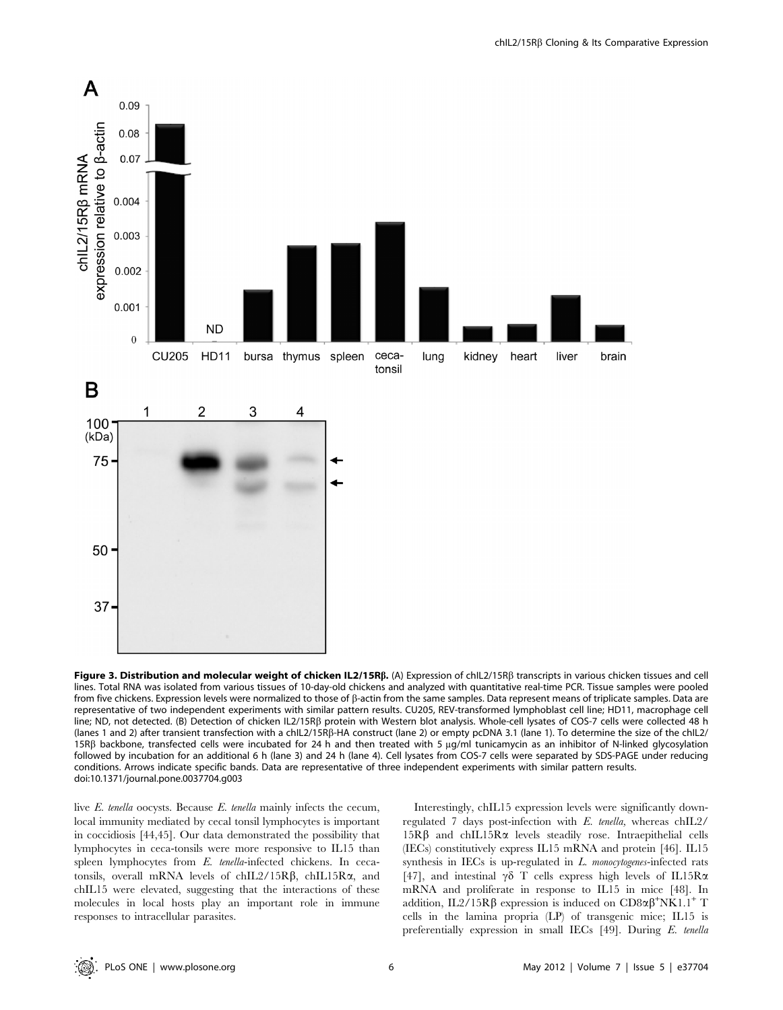

Figure 3. Distribution and molecular weight of chicken IL2/15Rß. (A) Expression of chIL2/15Rß transcripts in various chicken tissues and cell lines. Total RNA was isolated from various tissues of 10-day-old chickens and analyzed with quantitative real-time PCR. Tissue samples were pooled from five chickens. Expression levels were normalized to those of  $\beta$ -actin from the same samples. Data represent means of triplicate samples. Data are representative of two independent experiments with similar pattern results. CU205, REV-transformed lymphoblast cell line; HD11, macrophage cell line; ND, not detected. (B) Detection of chicken IL2/15RB protein with Western blot analysis. Whole-cell lysates of COS-7 cells were collected 48 h (lanes 1 and 2) after transient transfection with a chIL2/15Rß-HA construct (lane 2) or empty pcDNA 3.1 (lane 1). To determine the size of the chIL2/ 15Rß backbone, transfected cells were incubated for 24 h and then treated with 5  $\mu g/ml$  tunicamycin as an inhibitor of N-linked glycosylation followed by incubation for an additional 6 h (lane 3) and 24 h (lane 4). Cell lysates from COS-7 cells were separated by SDS-PAGE under reducing conditions. Arrows indicate specific bands. Data are representative of three independent experiments with similar pattern results. doi:10.1371/journal.pone.0037704.g003

live E. tenella oocysts. Because E. tenella mainly infects the cecum, local immunity mediated by cecal tonsil lymphocytes is important in coccidiosis [44,45]. Our data demonstrated the possibility that lymphocytes in ceca-tonsils were more responsive to IL15 than spleen lymphocytes from E. tenella-infected chickens. In cecatonsils, overall mRNA levels of chIL2/15R $\beta$ , chIL15R $\alpha$ , and chIL15 were elevated, suggesting that the interactions of these molecules in local hosts play an important role in immune responses to intracellular parasites.

Interestingly, chIL15 expression levels were significantly downregulated 7 days post-infection with E. tenella, whereas chIL2/  $15R\beta$  and chIL15R $\alpha$  levels steadily rose. Intraepithelial cells (IECs) constitutively express IL15 mRNA and protein [46]. IL15 synthesis in IECs is up-regulated in  $L$ . monocytogenes-infected rats [47], and intestinal  $\gamma\delta$  T cells express high levels of IL15R $\alpha$ mRNA and proliferate in response to IL15 in mice [48]. In addition, IL2/15R $\beta$  expression is induced on CD8 $\alpha\beta^+$ NK1.1<sup>+</sup> T cells in the lamina propria (LP) of transgenic mice; IL15 is preferentially expression in small IECs [49]. During E. tenella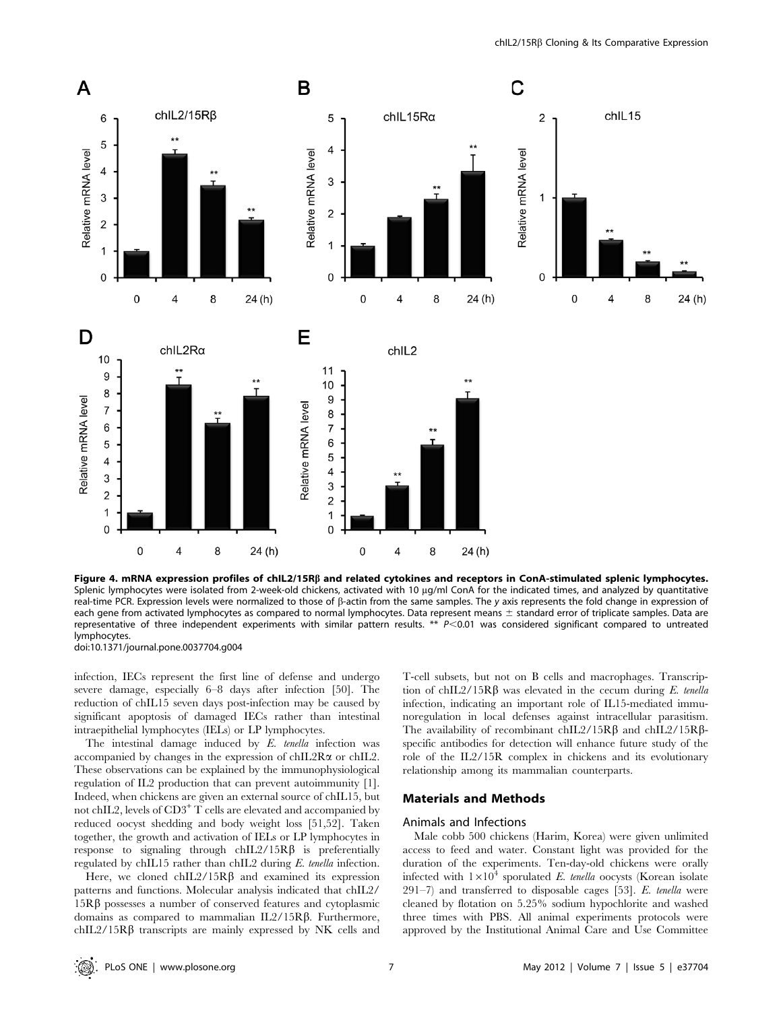

Figure 4. mRNA expression profiles of chIL2/15Rß and related cytokines and receptors in ConA-stimulated splenic lymphocytes. Splenic lymphocytes were isolated from 2-week-old chickens, activated with 10 µg/ml ConA for the indicated times, and analyzed by quantitative real-time PCR. Expression levels were normalized to those of b-actin from the same samples. The y axis represents the fold change in expression of each gene from activated lymphocytes as compared to normal lymphocytes. Data represent means ± standard error of triplicate samples. Data are representative of three independent experiments with similar pattern results. \*\*  $P<0.01$  was considered significant compared to untreated lymphocytes.

doi:10.1371/journal.pone.0037704.g004

infection, IECs represent the first line of defense and undergo severe damage, especially 6–8 days after infection [50]. The reduction of chIL15 seven days post-infection may be caused by significant apoptosis of damaged IECs rather than intestinal intraepithelial lymphocytes (IELs) or LP lymphocytes.

The intestinal damage induced by E. tenella infection was accompanied by changes in the expression of chIL2R $\alpha$  or chIL2. These observations can be explained by the immunophysiological regulation of IL2 production that can prevent autoimmunity [1]. Indeed, when chickens are given an external source of chIL15, but not chIL2, levels of CD3<sup>+</sup> T cells are elevated and accompanied by reduced oocyst shedding and body weight loss [51,52]. Taken together, the growth and activation of IELs or LP lymphocytes in response to signaling through  $chIL2/15R\beta$  is preferentially regulated by chIL15 rather than chIL2 during E. tenella infection.

Here, we cloned chIL2/15R $\beta$  and examined its expression patterns and functions. Molecular analysis indicated that chIL2/  $15R\beta$  possesses a number of conserved features and cytoplasmic domains as compared to mammalian  $IL2/15R\beta$ . Furthermore,  $chIL2/15R\beta$  transcripts are mainly expressed by NK cells and T-cell subsets, but not on B cells and macrophages. Transcription of chIL2/15R $\beta$  was elevated in the cecum during E. tenella infection, indicating an important role of IL15-mediated immunoregulation in local defenses against intracellular parasitism. The availability of recombinant chIL2/15R $\beta$  and chIL2/15R $\beta$ specific antibodies for detection will enhance future study of the role of the IL2/15R complex in chickens and its evolutionary relationship among its mammalian counterparts.

# Materials and Methods

#### Animals and Infections

Male cobb 500 chickens (Harim, Korea) were given unlimited access to feed and water. Constant light was provided for the duration of the experiments. Ten-day-old chickens were orally infected with  $1\times10^4$  sporulated E. tenella oocysts (Korean isolate  $291-7$ ) and transferred to disposable cages [53]. E. tenella were cleaned by flotation on 5.25% sodium hypochlorite and washed three times with PBS. All animal experiments protocols were approved by the Institutional Animal Care and Use Committee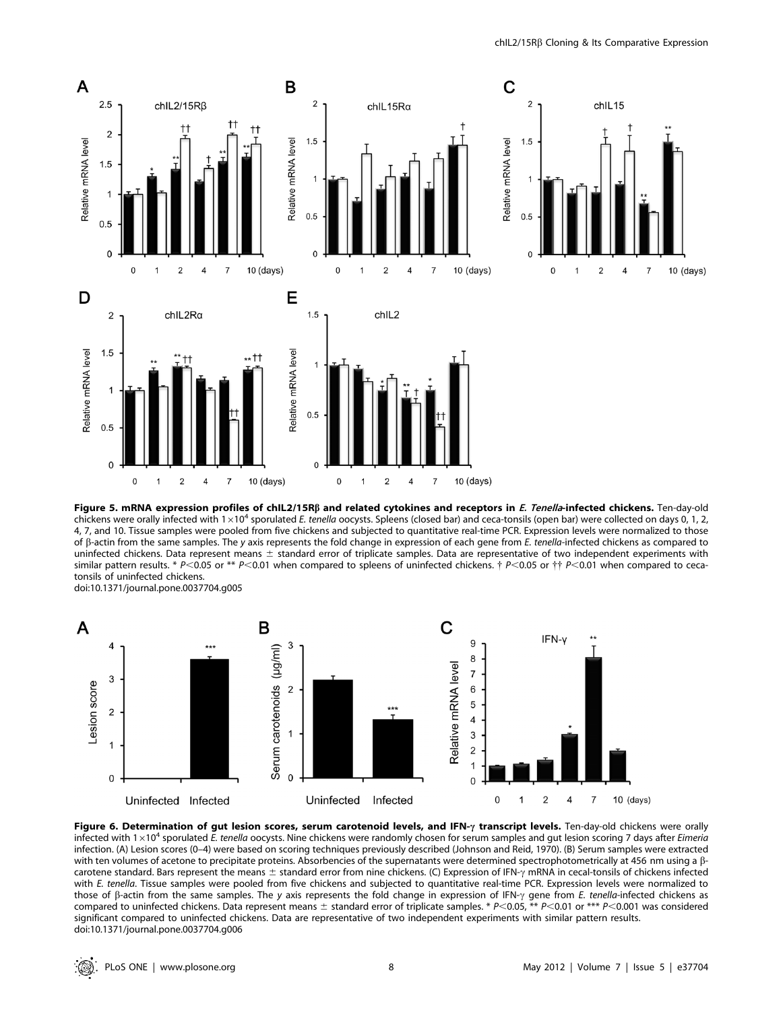

Figure 5. mRNA expression profiles of chIL2/15Rß and related cytokines and receptors in E. Tenella-infected chickens. Ten-day-old chickens were orally infected with  $1\times10^4$  sporulated E. tenella oocysts. Spleens (closed bar) and ceca-tonsils (open bar) were collected on days 0, 1, 2, 4, 7, and 10. Tissue samples were pooled from five chickens and subjected to quantitative real-time PCR. Expression levels were normalized to those of B-actin from the same samples. The y axis represents the fold change in expression of each gene from E. tenella-infected chickens as compared to uninfected chickens. Data represent means  $\pm$  standard error of triplicate samples. Data are representative of two independent experiments with similar pattern results. \* P<0.05 or \*\* P<0.01 when compared to spleens of uninfected chickens.  $\dagger$  P<0.05 or  $\dagger\dagger$  P<0.01 when compared to cecatonsils of uninfected chickens. doi:10.1371/journal.pone.0037704.g005



Figure 6. Determination of gut lesion scores, serum carotenoid levels, and IFN- $\gamma$  transcript levels. Ten-day-old chickens were orally infected with  $1\times10^4$  sporulated E. tenella oocysts. Nine chickens were randomly chosen for serum samples and gut lesion scoring 7 days after Eimeria infection. (A) Lesion scores (0–4) were based on scoring techniques previously described (Johnson and Reid, 1970). (B) Serum samples were extracted with ten volumes of acetone to precipitate proteins. Absorbencies of the supernatants were determined spectrophotometrically at 456 nm using a  $\beta$ carotene standard. Bars represent the means  $\pm$  standard error from nine chickens. (C) Expression of IFN- $\gamma$  mRNA in cecal-tonsils of chickens infected with E. tenella. Tissue samples were pooled from five chickens and subjected to quantitative real-time PCR. Expression levels were normalized to those of  $\beta$ -actin from the same samples. The y axis represents the fold change in expression of IFN- $\gamma$  gene from E. tenella-infected chickens as compared to uninfected chickens. Data represent means  $\pm$  standard error of triplicate samples. \* P<0.05, \*\* P<0.01 or \*\*\* P<0.001 was considered significant compared to uninfected chickens. Data are representative of two independent experiments with similar pattern results. doi:10.1371/journal.pone.0037704.g006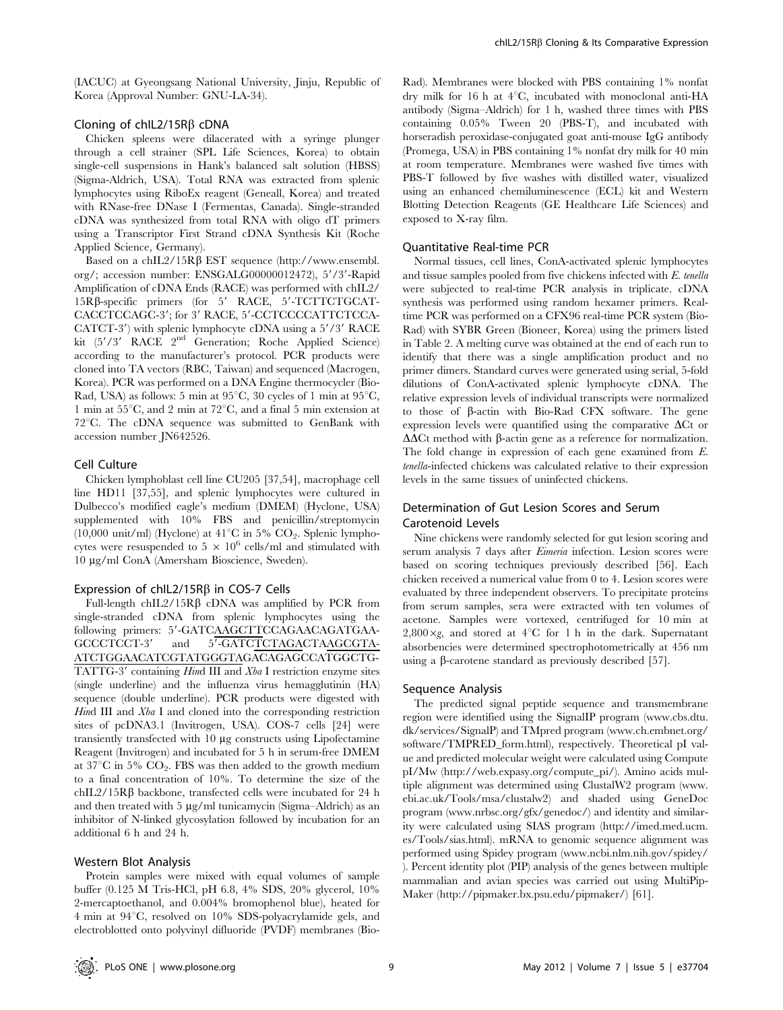(IACUC) at Gyeongsang National University, Jinju, Republic of Korea (Approval Number: GNU-LA-34).

#### Cloning of chIL2/15R<sub>B</sub> cDNA

Chicken spleens were dilacerated with a syringe plunger through a cell strainer (SPL Life Sciences, Korea) to obtain single-cell suspensions in Hank's balanced salt solution (HBSS) (Sigma-Aldrich, USA). Total RNA was extracted from splenic lymphocytes using RiboEx reagent (Geneall, Korea) and treated with RNase-free DNase I (Fermentas, Canada). Single-stranded cDNA was synthesized from total RNA with oligo dT primers using a Transcriptor First Strand cDNA Synthesis Kit (Roche Applied Science, Germany).

Based on a chIL2/15R $\beta$  EST sequence (http://www.ensembl. org/; accession number: ENSGALG00000012472), 5'/3'-Rapid Amplification of cDNA Ends (RACE) was performed with chIL2/  $15R\beta$ -specific primers (for 5' RACE, 5'-TCTTCTGCAT-CACCTCCAGC-3'; for 3' RACE, 5'-CCTCCCCATTCTCCA-CATCT-3') with splenic lymphocyte cDNA using a 5'/3' RACE kit  $(5'/3'$  RACE  $2<sup>nd</sup>$  Generation; Roche Applied Science) according to the manufacturer's protocol. PCR products were cloned into TA vectors (RBC, Taiwan) and sequenced (Macrogen, Korea). PCR was performed on a DNA Engine thermocycler (Bio-Rad, USA) as follows: 5 min at  $95^{\circ}$ C, 30 cycles of 1 min at  $95^{\circ}$ C, 1 min at  $55^{\circ}$ C, and 2 min at  $72^{\circ}$ C, and a final 5 min extension at  $72^{\circ}$ C. The cDNA sequence was submitted to GenBank with accession number JN642526.

#### Cell Culture

Chicken lymphoblast cell line CU205 [37,54], macrophage cell line HD11 [37,55], and splenic lymphocytes were cultured in Dulbecco's modified eagle's medium (DMEM) (Hyclone, USA) supplemented with 10% FBS and penicillin/streptomycin (10,000 unit/ml) (Hyclone) at  $41^{\circ}$ C in 5% CO<sub>2</sub>. Splenic lymphocytes were resuspended to  $5 \times 10^6$  cells/ml and stimulated with 10 mg/ml ConA (Amersham Bioscience, Sweden).

#### Expression of chIL2/15R $\beta$  in COS-7 Cells

Full-length chIL2/15R $\beta$  cDNA was amplified by PCR from single-stranded cDNA from splenic lymphocytes using the following primers: 5'-GATCAAGCTTCCAGAACAGATGAA-GCCCTCCT-3' and 5<sup>7</sup>-GATCTCTAGACTAAGCGTA-ATCTGGAACATCGTATGGGTAGACAGAGCCATGGCTG-TATTG-3' containing Hind III and  $Xba$  I restriction enzyme sites (single underline) and the influenza virus hemagglutinin (HA) sequence (double underline). PCR products were digested with Hind III and Xba I and cloned into the corresponding restriction sites of pcDNA3.1 (Invitrogen, USA). COS-7 cells [24] were transiently transfected with 10 mg constructs using Lipofectamine Reagent (Invitrogen) and incubated for 5 h in serum-free DMEM at  $37^{\circ}$ C in 5% CO<sub>2</sub>. FBS was then added to the growth medium to a final concentration of 10%. To determine the size of the chIL2/15R $\beta$  backbone, transfected cells were incubated for 24 h and then treated with  $5 \mu g/ml$  tunicamycin (Sigma–Aldrich) as an inhibitor of N-linked glycosylation followed by incubation for an additional 6 h and 24 h.

# Western Blot Analysis

Protein samples were mixed with equal volumes of sample buffer (0.125 M Tris-HCl, pH 6.8, 4% SDS, 20% glycerol, 10% 2-mercaptoethanol, and 0.004% bromophenol blue), heated for  $4 \text{ min at } 94^{\circ}\text{C}, \text{ resolved on } 10\% \text{ SDS-polyacrylamide gels, and}$ electroblotted onto polyvinyl difluoride (PVDF) membranes (BioRad). Membranes were blocked with PBS containing 1% nonfat dry milk for 16 h at  $4^{\circ}$ C, incubated with monoclonal anti-HA antibody (Sigma–Aldrich) for 1 h, washed three times with PBS containing 0.05% Tween 20 (PBS-T), and incubated with horseradish peroxidase-conjugated goat anti-mouse IgG antibody (Promega, USA) in PBS containing 1% nonfat dry milk for 40 min at room temperature. Membranes were washed five times with PBS-T followed by five washes with distilled water, visualized using an enhanced chemiluminescence (ECL) kit and Western Blotting Detection Reagents (GE Healthcare Life Sciences) and exposed to X-ray film.

#### Quantitative Real-time PCR

Normal tissues, cell lines, ConA-activated splenic lymphocytes and tissue samples pooled from five chickens infected with E. tenella were subjected to real-time PCR analysis in triplicate. cDNA synthesis was performed using random hexamer primers. Realtime PCR was performed on a CFX96 real-time PCR system (Bio-Rad) with SYBR Green (Bioneer, Korea) using the primers listed in Table 2. A melting curve was obtained at the end of each run to identify that there was a single amplification product and no primer dimers. Standard curves were generated using serial, 5-fold dilutions of ConA-activated splenic lymphocyte cDNA. The relative expression levels of individual transcripts were normalized to those of b-actin with Bio-Rad CFX software. The gene expression levels were quantified using the comparative  $\Delta$ Ct or  $\Delta\Delta$ Ct method with  $\beta$ -actin gene as a reference for normalization. The fold change in expression of each gene examined from E. tenella-infected chickens was calculated relative to their expression levels in the same tissues of uninfected chickens.

# Determination of Gut Lesion Scores and Serum Carotenoid Levels

Nine chickens were randomly selected for gut lesion scoring and serum analysis 7 days after Eimeria infection. Lesion scores were based on scoring techniques previously described [56]. Each chicken received a numerical value from 0 to 4. Lesion scores were evaluated by three independent observers. To precipitate proteins from serum samples, sera were extracted with ten volumes of acetone. Samples were vortexed, centrifuged for 10 min at 2,800 $\times$ g, and stored at 4°C for 1 h in the dark. Supernatant absorbencies were determined spectrophotometrically at 456 nm using a  $\beta$ -carotene standard as previously described [57].

#### Sequence Analysis

The predicted signal peptide sequence and transmembrane region were identified using the SignalIP program (www.cbs.dtu. dk/services/SignalP) and TMpred program (www.ch.embnet.org/ software/TMPRED\_form.html), respectively. Theoretical pI value and predicted molecular weight were calculated using Compute pI/Mw (http://web.expasy.org/compute\_pi/). Amino acids multiple alignment was determined using ClustalW2 program (www. ebi.ac.uk/Tools/msa/clustalw2) and shaded using GeneDoc program (www.nrbsc.org/gfx/genedoc/) and identity and similarity were calculated using SIAS program (http://imed.med.ucm. es/Tools/sias.html). mRNA to genomic sequence alignment was performed using Spidey program (www.ncbi.nlm.nih.gov/spidey/ ). Percent identity plot (PIP) analysis of the genes between multiple mammalian and avian species was carried out using MultiPip-Maker (http://pipmaker.bx.psu.edu/pipmaker/) [61].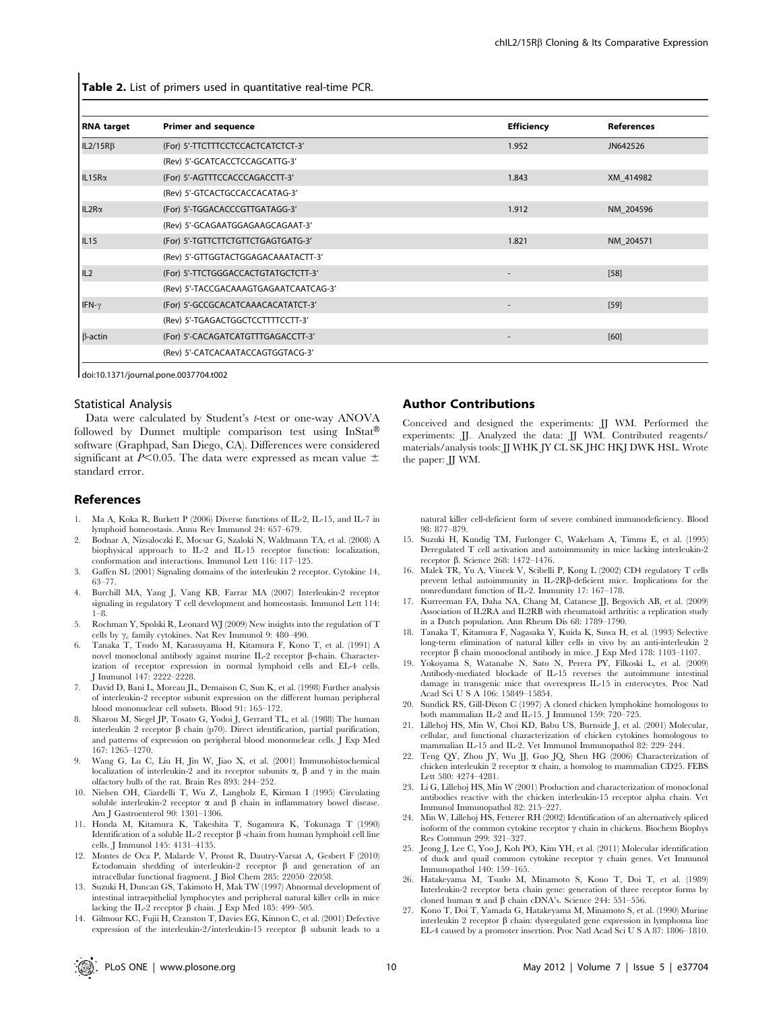Table 2. List of primers used in quantitative real-time PCR.

| <b>RNA</b> target | <b>Primer and sequence</b>            | <b>Efficiency</b> | <b>References</b> |
|-------------------|---------------------------------------|-------------------|-------------------|
| $IL2/15R\beta$    | (For) 5'-TTCTTTCCTCCACTCATCTCT-3'     | 1.952             | JN642526          |
|                   | (Rev) 5'-GCATCACCTCCAGCATTG-3'        |                   |                   |
| $IL15R\alpha$     | (For) 5'-AGTTTCCACCCAGACCTT-3'        | 1.843             | XM 414982         |
|                   | (Rev) 5'-GTCACTGCCACCACATAG-3'        |                   |                   |
| $IL2R\alpha$      | (For) 5'-TGGACACCCGTTGATAGG-3'        | 1.912             | NM 204596         |
|                   | (Rev) 5'-GCAGAATGGAGAAGCAGAAT-3'      |                   |                   |
| IL <sub>15</sub>  | (For) 5'-TGTTCTTCTGTTCTGAGTGATG-3'    | 1.821             | NM 204571         |
|                   | (Rev) 5'-GTTGGTACTGGAGACAAATACTT-3'   |                   |                   |
| IL2               | (For) 5'-TTCTGGGACCACTGTATGCTCTT-3'   |                   | $[58]$            |
|                   | (Rev) 5'-TACCGACAAAGTGAGAATCAATCAG-3' |                   |                   |
| IFN- $\gamma$     | (For) 5'-GCCGCACATCAAACACATATCT-3'    |                   | $[59]$            |
|                   | (Rev) 5'-TGAGACTGGCTCCTTTTCCTT-3'     |                   |                   |
| $\beta$ -actin    | (For) 5'-CACAGATCATGTTTGAGACCTT-3'    |                   | [60]              |
|                   | (Rev) 5'-CATCACAATACCAGTGGTACG-3'     |                   |                   |

doi:10.1371/journal.pone.0037704.t002

#### Statistical Analysis

Data were calculated by Student's t-test or one-way ANOVA followed by Dunnet multiple comparison test using  $InStat^{\circledR}$ software (Graphpad, San Diego, CA). Differences were considered significant at P<0.05. The data were expressed as mean value  $\pm$ standard error.

#### References

- 1. Ma A, Koka R, Burkett P (2006) Diverse functions of IL-2, IL-15, and IL-7 in lymphoid homeostasis. Annu Rev Immunol 24: 657–679.
- 2. Bodnar A, Nizsaloczki E, Mocsar G, Szaloki N, Waldmann TA, et al. (2008) A biophysical approach to IL-2 and IL-15 receptor function: localization, conformation and interactions. Immunol Lett 116: 117–125.
- 3. Gaffen SL (2001) Signaling domains of the interleukin 2 receptor. Cytokine 14, 63–77.
- 4. Burchill MA, Yang J, Vang KB, Farrar MA (2007) Interleukin-2 receptor signaling in regulatory T cell development and homeostasis. Immunol Lett 114: 1–8.
- 5. Rochman Y, Spolski R, Leonard WJ (2009) New insights into the regulation of T cells by  $\gamma_c$  family cytokines. Nat Rev Immunol 9: 480–490.
- 6. Tanaka T, Tsudo M, Karasuyama H, Kitamura F, Kono T, et al. (1991) A novel monoclonal antibody against murine IL-2 receptor  $\beta$ -chain. Characterization of receptor expression in normal lymphoid cells and EL-4 cells. J Immunol 147: 2222–2228.
- 7. David D, Bani L, Moreau JL, Demaison C, Sun K, et al. (1998) Further analysis of interleukin-2 receptor subunit expression on the different human peripheral blood mononuclear cell subsets. Blood 91: 165–172.
- 8. Sharon M, Siegel JP, Tosato G, Yodoi J, Gerrard TL, et al. (1988) The human interleukin 2 receptor  $\beta$  chain (p70). Direct identification, partial purification, and patterns of expression on peripheral blood mononuclear cells. J Exp Med 167: 1265–1270.
- 9. Wang G, Lu C, Liu H, Jin W, Jiao X, et al. (2001) Immunohistochemical localization of interleukin-2 and its receptor subunits  $\alpha$ ,  $\beta$  and  $\gamma$  in the main olfactory bulb of the rat. Brain Res 893: 244–252.
- 10. Nielsen OH, Ciardelli T, Wu Z, Langholz E, Kirman I (1995) Circulating soluble interleukin-2 receptor  $\alpha$  and  $\beta$  chain in inflammatory bowel disease. Am J Gastroenterol 90: 1301–1306.
- 11. Honda M, Kitamura K, Takeshita T, Sugamura K, Tokunaga T (1990) Identification of a soluble IL-2 receptor  $\beta$  -chain from human lymphoid cell line cells. J Immunol 145: 4131–4135.
- 12. Montes de Oca P, Malarde V, Proust R, Dautry-Varsat A, Gesbert F (2010) Ectodomain shedding of interleukin-2 receptor  $\beta$  and generation of an intracellular functional fragment. J Biol Chem 285: 22050–22058.
- 13. Suzuki H, Duncan GS, Takimoto H, Mak TW (1997) Abnormal development of intestinal intraepithelial lymphocytes and peripheral natural killer cells in mice lacking the IL-2 receptor  $\beta$  chain. J Exp Med 185: 499–505.
- 14. Gilmour KC, Fujii H, Cranston T, Davies EG, Kinnon C, et al. (2001) Defective expression of the interleukin-2/interleukin-15 receptor  $\beta$  subunit leads to a

## Author Contributions

Conceived and designed the experiments: JJ WM. Performed the experiments: JJ. Analyzed the data: JJ WM. Contributed reagents/ materials/analysis tools: JJ WHK JY CL SK JHC HKJ DWK HSL. Wrote the paper: JJ WM.

natural killer cell-deficient form of severe combined immunodeficiency. Blood 98: 877–879.

- 15. Suzuki H, Kundig TM, Furlonger C, Wakeham A, Timms E, et al. (1995) Deregulated T cell activation and autoimmunity in mice lacking interleukin-2 receptor b. Science 268: 1472–1476.
- 16. Malek TR, Yu A, Vincek V, Scibelli P, Kong L (2002) CD4 regulatory T cells prevent lethal autoimmunity in IL-2RB-deficient mice. Implications for the nonredundant function of IL-2. Immunity 17: 167–178.
- 17. Kurreeman FA, Daha NA, Chang M, Catanese JJ, Begovich AB, et al. (2009) Association of IL2RA and IL2RB with rheumatoid arthritis: a replication study in a Dutch population. Ann Rheum Dis 68: 1789–1790.
- 18. Tanaka T, Kitamura F, Nagasaka Y, Kuida K, Suwa H, et al. (1993) Selective long-term elimination of natural killer cells in vivo by an anti-interleukin 2 receptor  $\beta$  chain monoclonal antibody in mice. J Exp Med 178: 1103–1107.
- 19. Yokoyama S, Watanabe N, Sato N, Perera PY, Filkoski L, et al. (2009) Antibody-mediated blockade of IL-15 reverses the autoimmune intestinal damage in transgenic mice that overexpress IL-15 in enterocytes. Proc Natl Acad Sci U S A 106: 15849–15854.
- 20. Sundick RS, Gill-Dixon C (1997) A cloned chicken lymphokine homologous to both mammalian IL-2 and IL-15. J Immunol 159: 720–725.
- 21. Lillehoj HS, Min W, Choi KD, Babu US, Burnside J, et al. (2001) Molecular, cellular, and functional characterization of chicken cytokines homologous to mammalian IL-15 and IL-2. Vet Immunol Immunopathol 82: 229–244.
- 22. Teng QY, Zhou JY, Wu JJ, Guo JQ, Shen HG (2006) Characterization of chicken interleukin 2 receptor a chain, a homolog to mammalian CD25. FEBS Lett 580: 4274–4281.
- 23. Li G, Lillehoj HS, Min W (2001) Production and characterization of monoclonal antibodies reactive with the chicken interleukin-15 receptor alpha chain. Vet Immunol Immunopathol 82: 215–227.
- 24. Min W, Lillehoj HS, Fetterer RH (2002) Identification of an alternatively spliced isoform of the common cytokine receptor  $\gamma$  chain in chickens. Biochem Biophys Res Commun 299: 321–327.
- 25. Jeong J, Lee C, Yoo J, Koh PO, Kim YH, et al. (2011) Molecular identification of duck and quail common cytokine receptor  $\gamma$  chain genes. Vet Immunol Immunopathol 140: 159–165.
- 26. Hatakeyama M, Tsudo M, Minamoto S, Kono T, Doi T, et al. (1989) Interleukin-2 receptor beta chain gene: generation of three receptor forms by cloned human  $\alpha$  and  $\beta$  chain cDNA's. Science 244: 551–556.
- 27. Kono T, Doi T, Yamada G, Hatakeyama M, Minamoto S, et al. (1990) Murine interleukin 2 receptor  $\beta$  chain: dysregulated gene expression in lymphoma line EL-4 caused by a promoter insertion. Proc Natl Acad Sci U S A 87: 1806–1810.